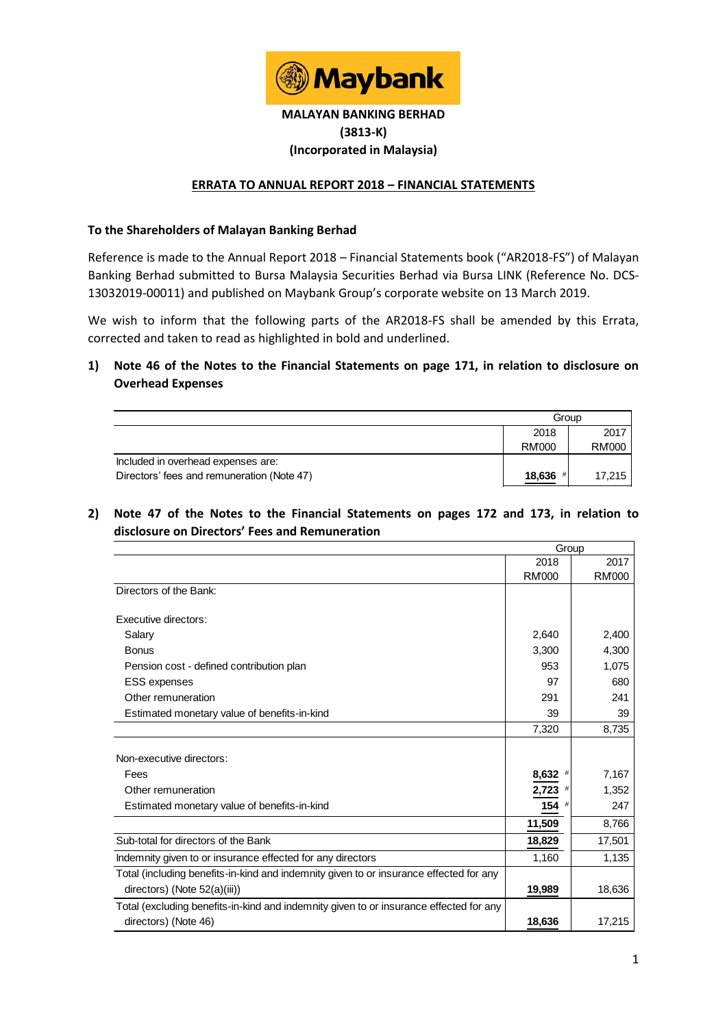

## **MALAYAN BANKING BERHAD (3813-K) (Incorporated in Malaysia)**

### **ERRATA TO ANNUAL REPORT 2018 – FINANCIAL STATEMENTS**

#### **To the Shareholders of Malayan Banking Berhad**

Reference is made to the Annual Report 2018 – Financial Statements book ("AR2018-FS") of Malayan Banking Berhad submitted to Bursa Malaysia Securities Berhad via Bursa LINK (Reference No. DCS-13032019-00011) and published on Maybank Group's corporate website on 13 March 2019.

We wish to inform that the following parts of the AR2018-FS shall be amended by this Errata, corrected and taken to read as highlighted in bold and underlined.

## **1) Note 46 of the Notes to the Financial Statements on page 171, in relation to disclosure on Overhead Expenses**

|                                            | Group         |               |  |
|--------------------------------------------|---------------|---------------|--|
|                                            | 2018          | 2017          |  |
|                                            | <b>RM'000</b> | <b>RM'000</b> |  |
| Included in overhead expenses are:         |               |               |  |
| Directors' fees and remuneration (Note 47) | 18,636<br>#   | 17.215        |  |

**2) Note 47 of the Notes to the Financial Statements on pages 172 and 173, in relation to disclosure on Directors' Fees and Remuneration**

|                                                                                        | Group  |        |
|----------------------------------------------------------------------------------------|--------|--------|
|                                                                                        | 2018   | 2017   |
|                                                                                        | RM000  | RM'000 |
| Directors of the Bank:                                                                 |        |        |
|                                                                                        |        |        |
| Executive directors:                                                                   |        |        |
| Salary                                                                                 | 2,640  | 2,400  |
| <b>Bonus</b>                                                                           | 3,300  | 4,300  |
| Pension cost - defined contribution plan                                               | 953    | 1,075  |
| <b>ESS</b> expenses                                                                    | 97     | 680    |
| Other remuneration                                                                     | 291    | 241    |
| Estimated monetary value of benefits-in-kind                                           | 39     | 39     |
|                                                                                        | 7,320  | 8,735  |
|                                                                                        |        |        |
| Non-executive directors:                                                               |        |        |
| Fees                                                                                   | 8,632  | 7,167  |
| Other remuneration                                                                     | 2,723  | 1,352  |
| Estimated monetary value of benefits-in-kind                                           | 154    | 247    |
|                                                                                        | 11,509 | 8,766  |
| Sub-total for directors of the Bank                                                    | 18,829 | 17,501 |
| Indemnity given to or insurance effected for any directors                             | 1,160  | 1,135  |
| Total (including benefits-in-kind and indemnity given to or insurance effected for any |        |        |
| directors) (Note 52(a)(iii))                                                           | 19,989 | 18,636 |
| Total (excluding benefits-in-kind and indemnity given to or insurance effected for any |        |        |
| directors) (Note 46)                                                                   | 18,636 | 17,215 |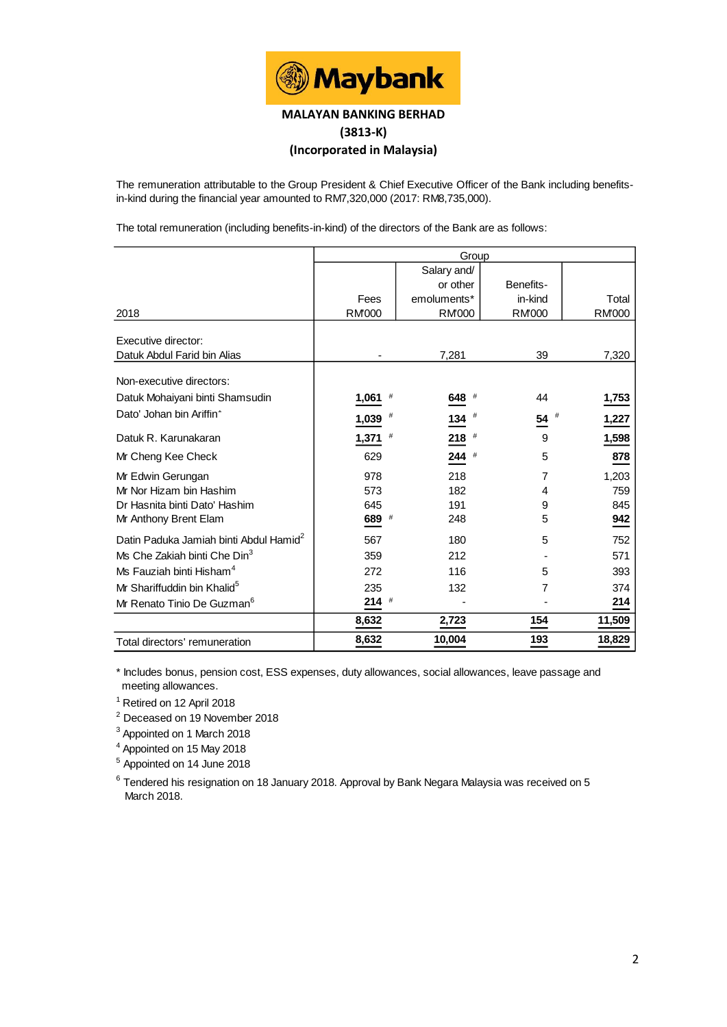

# **MALAYAN BANKING BERHAD (3813-K) (Incorporated in Malaysia)**

The remuneration attributable to the Group President & Chief Executive Officer of the Bank including benefitsin-kind during the financial year amounted to RM7,320,000 (2017: RM8,735,000).

The total remuneration (including benefits-in-kind) of the directors of the Bank are as follows:

|                                                    | Group         |               |               |               |
|----------------------------------------------------|---------------|---------------|---------------|---------------|
|                                                    |               | Salary and/   |               |               |
|                                                    |               | or other      | Benefits-     |               |
|                                                    | Fees          | emoluments*   | in-kind       | Total         |
| 2018                                               | <b>RM'000</b> | <b>RM'000</b> | <b>RM'000</b> | <b>RM'000</b> |
|                                                    |               |               |               |               |
| Executive director:                                |               |               |               |               |
| Datuk Abdul Farid bin Alias                        |               | 7,281         | 39            | 7,320         |
| Non-executive directors:                           |               |               |               |               |
| Datuk Mohaiyani binti Shamsudin                    | #<br>1,061    | 648<br>#      | 44            | 1,753         |
| Dato' Johan bin Ariffin'                           | 1,039         | 134           | #<br>54       | 1,227         |
| Datuk R. Karunakaran                               | #<br>1,371    | 218<br>#      | 9             | 1,598         |
| Mr Cheng Kee Check                                 | 629           | 244<br>#      | 5             | 878           |
| Mr Edwin Gerungan                                  | 978           | 218           | 7             | 1,203         |
| Mr Nor Hizam bin Hashim                            | 573           | 182           | 4             | 759           |
| Dr Hasnita binti Dato' Hashim                      | 645           | 191           | 9             | 845           |
| Mr Anthony Brent Elam                              | 689 #         | 248           | 5             | 942           |
| Datin Paduka Jamiah binti Abdul Hamid <sup>2</sup> | 567           | 180           | 5             | 752           |
| Ms Che Zakiah binti Che Din <sup>3</sup>           | 359           | 212           |               | 571           |
| Ms Fauziah binti Hisham <sup>4</sup>               | 272           | 116           | 5             | 393           |
| Mr Shariffuddin bin Khalid <sup>5</sup>            | 235           | 132           |               | 374           |
| Mr Renato Tinio De Guzman <sup>6</sup>             | $214$ #       |               |               | 214           |
|                                                    | 8,632         | 2,723         | 154           | 11,509        |
| Total directors' remuneration                      | 8,632         | 10,004        | 193           | 18,829        |

\* Includes bonus, pension cost, ESS expenses, duty allowances, social allowances, leave passage and meeting allowances.

<sup>1</sup> Retired on 12 April 2018

 $2$  Deceased on 19 November 2018 <sup>1</sup> Retired on 12 April 2018<br><sup>2</sup> Deceased on 19 November<br><sup>3</sup> Appointed on 1 March 2018 Relied on 12 April 2016<br>
<sup>2</sup> Deceased on 19 November<br>
<sup>3</sup> Appointed on 15 May 2018

5 Appointed on 14 June 2018

 $6$  Tendered his resignation on 18 January 2018. Approval by Bank Negara Malaysia was received on 5 March 2018.